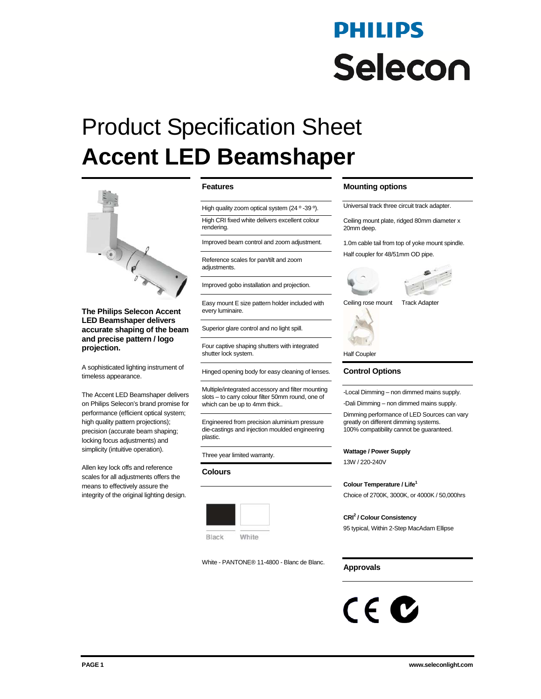# PHILIPS **Selecon**

# Product Specification Sheet **Accent LED Beamshaper**



**The Philips Selecon Accent LED Beamshaper delivers accurate shaping of the beam and precise pattern / logo projection.** 

A sophisticated lighting instrument of timeless appearance.

The Accent LED Beamshaper delivers on Philips Selecon's brand promise for performance (efficient optical system; high quality pattern projections); precision (accurate beam shaping; locking focus adjustments) and simplicity (intuitive operation).

Allen key lock offs and reference scales for all adjustments offers the means to effectively assure the integrity of the original lighting design.

### **Features**

High quality zoom optical system (24 ° -39 °).

High CRI fixed white delivers excellent colour

rendering.

Improved beam control and zoom adjustment.

Reference scales for pan/tilt and zoom adjustments.

Improved gobo installation and projection.

Easy mount E size pattern holder included with every luminaire.

Superior glare control and no light spill.

Four captive shaping shutters with integrated shutter lock system.

Hinged opening body for easy cleaning of lenses.

Multiple/integrated accessory and filter mounting slots – to carry colour filter 50mm round, one of which can be up to 4mm thick..

Engineered from precision aluminium pressure die-castings and injection moulded engineering plastic.

Three year limited warranty.

#### **Colours**



White - PANTONE® 11-4800 - Blanc de Blanc.

## **Mounting options**

Universal track three circuit track adapter.

Ceiling mount plate, ridged 80mm diameter x 20mm deep.

1.0m cable tail from top of yoke mount spindle. Half coupler for 48/51mm OD pipe.





Ceiling rose mount Track Adapter



Half Coupler

## **Control Options**

-Local Dimming – non dimmed mains supply.

-Dali Dimming – non dimmed mains supply.

Dimming performance of LED Sources can vary greatly on different dimming systems. 100% compatibility cannot be guaranteed.

#### **Wattage / Power Supply**

13W / 220-240V

**Colour Temperature / Life1**

Choice of 2700K, 3000K, or 4000K / 50,000hrs

#### **CRI2 / Colour Consistency**

95 typical, Within 2-Step MacAdam Ellipse

# **Approvals**

# $C \in \mathbf{C}$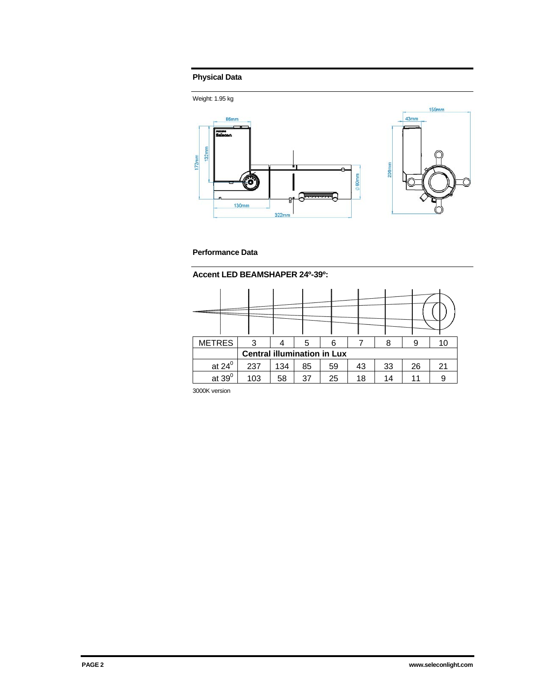# **Physical Data**



# **Performance Data**

**Accent LED BEAMSHAPER 24º-39º:** 

| <b>METRES</b>                      | 3   |     | 5  | 6  |    | 8  | 9  | 10 |  |  |  |
|------------------------------------|-----|-----|----|----|----|----|----|----|--|--|--|
| <b>Central illumination in Lux</b> |     |     |    |    |    |    |    |    |  |  |  |
| at $24^0$                          | 237 | 134 | 85 | 59 | 43 | 33 | 26 | 21 |  |  |  |
| at $39^0$                          | 103 | 58  | 37 | 25 | 18 | 14 | 11 | 9  |  |  |  |

3000K version